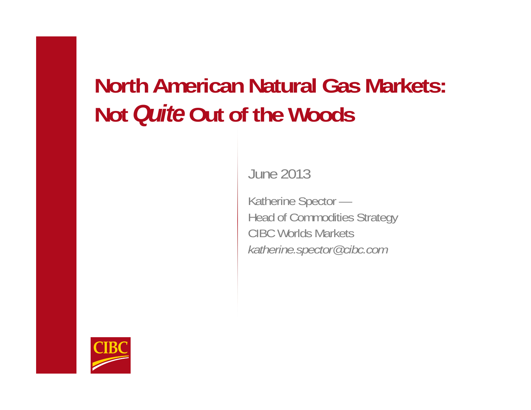# **North American Natural Gas Markets: Not** *Quite* **Out of the Woods**

June 2013

Katherine Spector — Head of Commodities Strategy CIBC Worlds Markets *katherine.spector@cibc.com*

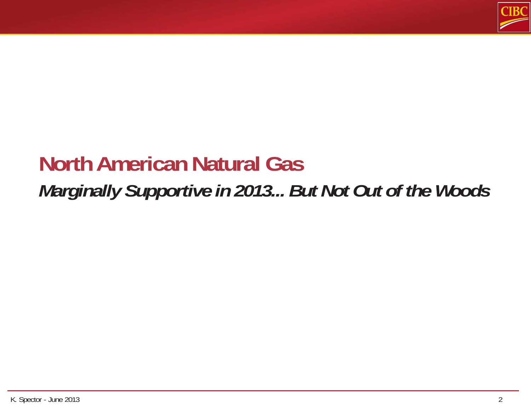

### **North American Natural Gas** *Marginally Supportive in 2013... But Not Out of the Woods*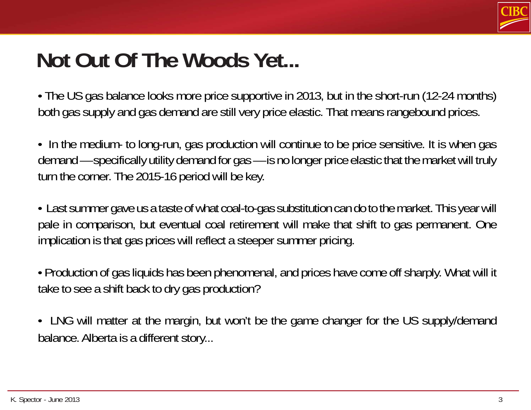

# **Not Out Of The Woods Yet...**

• The US gas balance looks more price supportive in 2013, but in the short-run (12-24 months) both gas supply and gas demand are still very price elastic. That means rangebound prices.

• In the medium- to long-run, gas production will continue to be price sensitive. It is when gas demand — specifically utility demand for gas — is no longer price elastic that the market will truly turn the corner. The 2015-16 period will be key.

• Last summer gave us a taste of what coal-to-gas substitution can do to the market. This year will pale in comparison, but eventual coal retirement will make that shift to gas permanent. One implication is that gas prices will reflect a steeper summer pricing.

• Production of gas liquids has been phenomenal, and prices have come off sharply. What will it take to see a shift back to dry gas production?

• LNG will matter at the margin, but won't be the game changer for the US supply/demand balance. Alberta is a different story...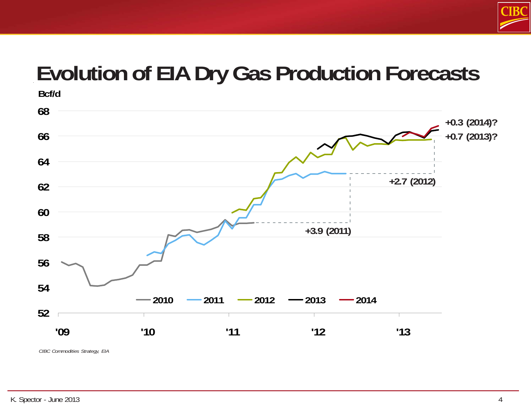

# **Evolution of EIA Dry Gas Production Forecasts**



*CIBC Commodities Strategy, EIA*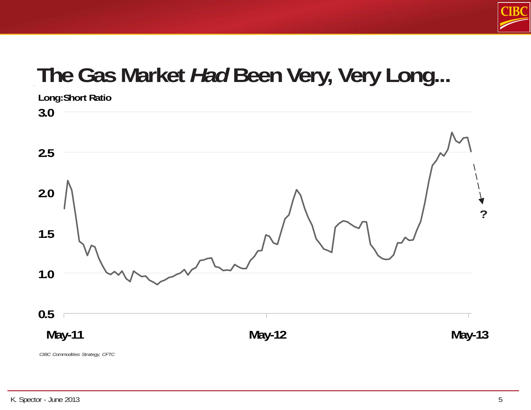

# **The Gas Market** *Had* **Been Very, Very Long...**



*CIBC Commodities Strategy, CFTC*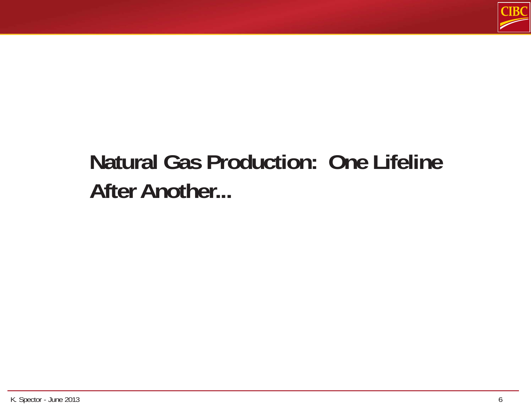

# **Natural Gas Production: One Lifeline After Another...**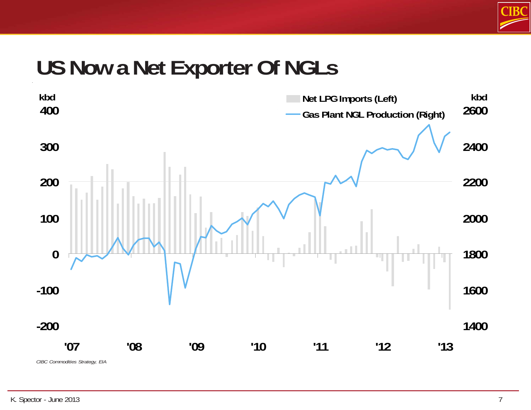

#### **US Now a Net Exporter Of NGLs**

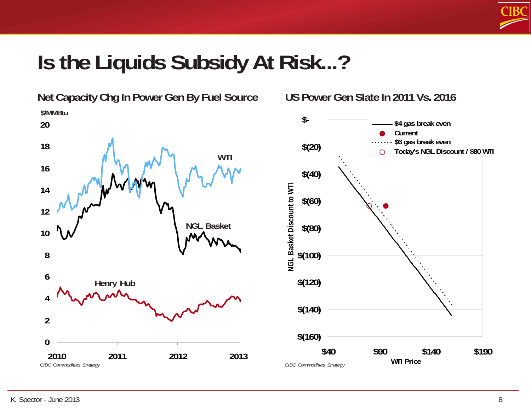

### **Is the Liquids Subsidy At Risk...?**

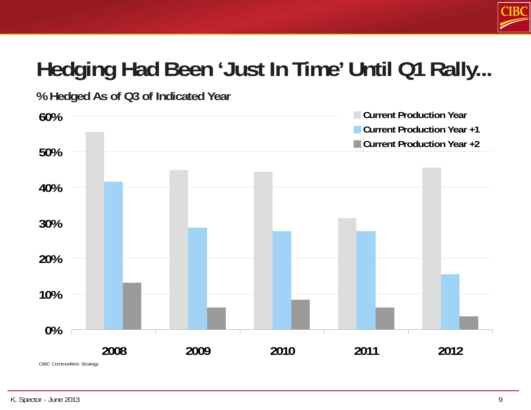

# **Hedging Had Been 'Just In Time' Until Q1 Rally...**

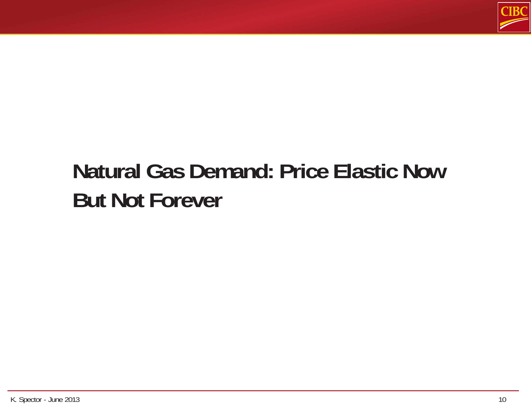

# **Natural Gas Demand: Price Elastic Now But Not Forever**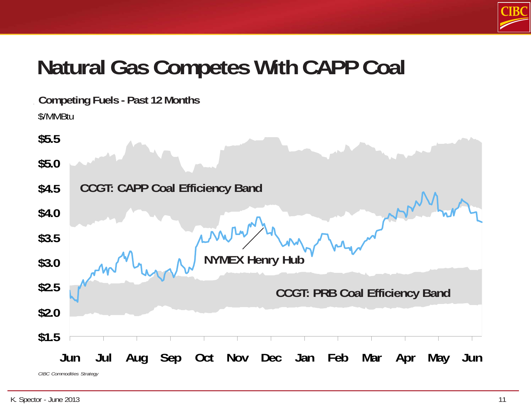

## **Natural Gas Competes With CAPP Coal**

**Competing Fuels - Past 12 Months** \$/MMBtu

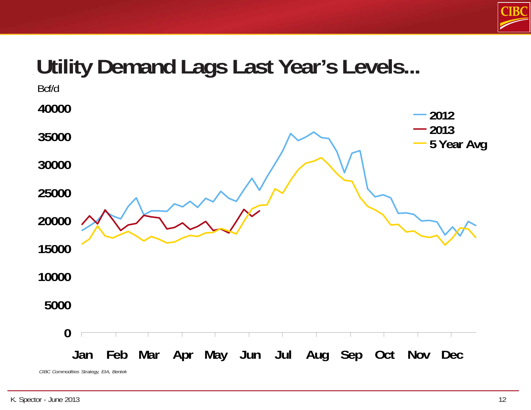

## **Utility Demand Lags Last Year's Levels...**

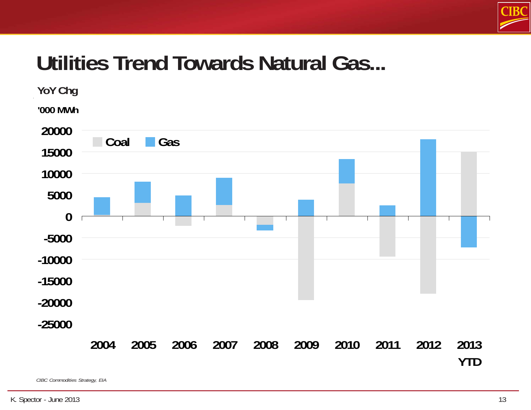

## **Utilities Trend Towards Natural Gas...**

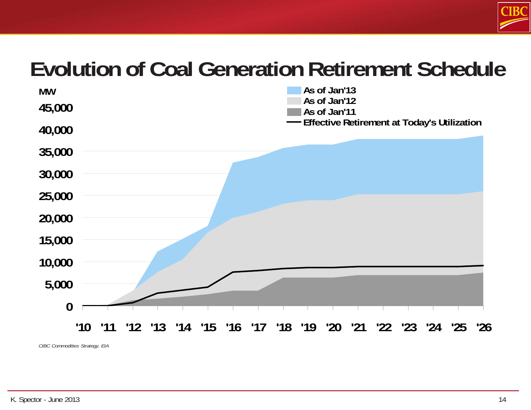

#### **Evolution of Coal Generation Retirement Schedule**

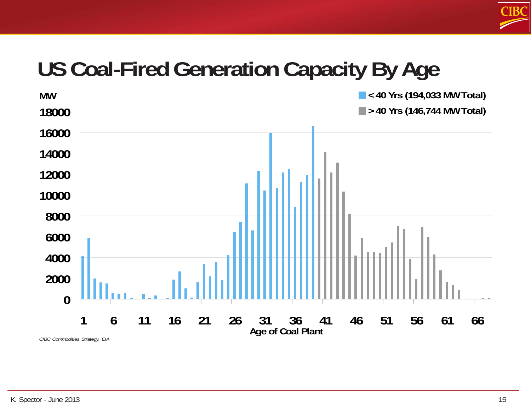

## **US Coal-Fired Generation Capacity By Age**

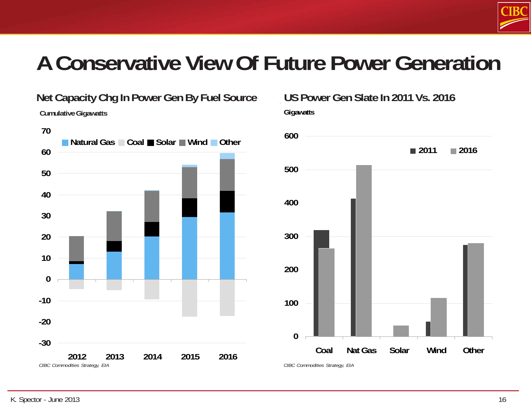

### **A Conservative View Of Future Power Generation**



**Gigawatts Net Capacity Chg In Power Gen By Fuel Source US Power Gen Slate In 2011 Vs. 2016**

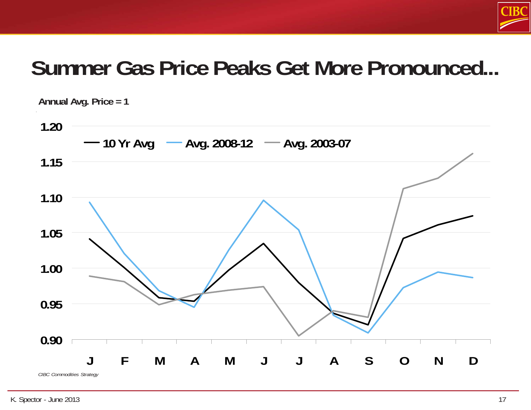

#### **Summer Gas Price Peaks Get More Pronounced...**

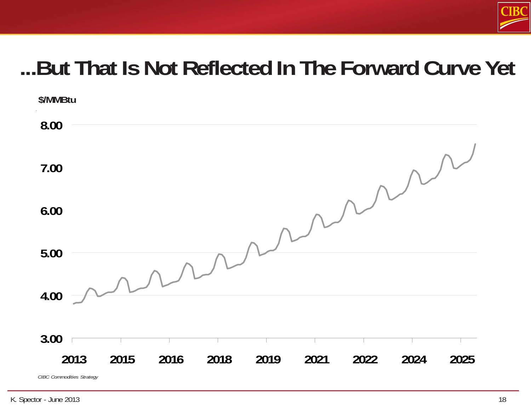

## **...But That Is Not Reflected In The Forward Curve Yet**

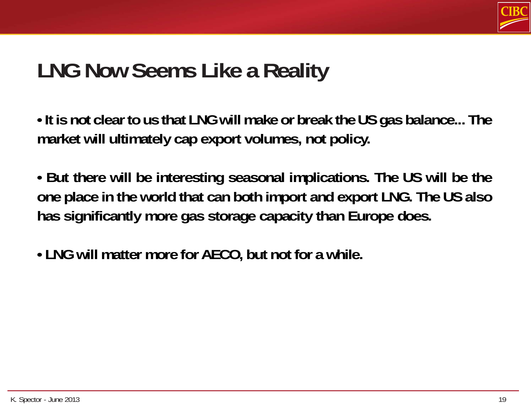

#### **LNG Now Seems Like a Reality**

**• It is not clear to us that LNG will make or break the US gas balance... The market will ultimately cap export volumes, not policy.**

- **But there will be interesting seasonal implications. The US will be the one place in the world that can both import and export LNG. The US also has significantly more gas storage capacity than Europe does.**
- **LNG will matter more for AECO, but not for a while.**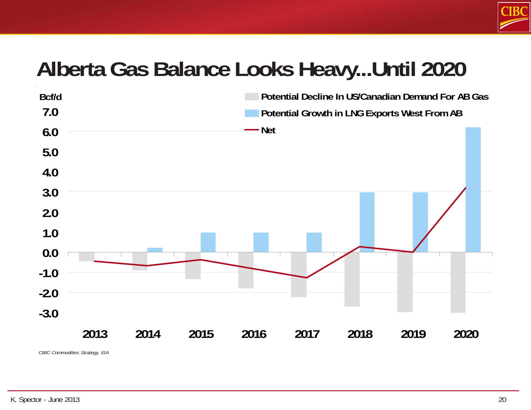

#### **Alberta Gas Balance Looks Heavy...Until 2020**

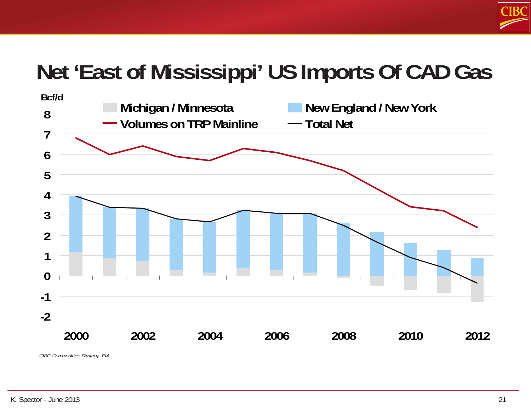

# **Net 'East of Mississippi' US Imports Of CAD Gas**